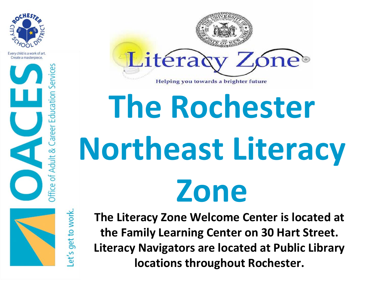

Every child is a work of art. Create a masterniece.



et's get to work



## **The Rochester Northeast Literacy Zone**

 **locations throughout Rochester. The Literacy Zone Welcome Center is located at the Family Learning Center on 30 Hart Street. Literacy Navigators are located at Public Library**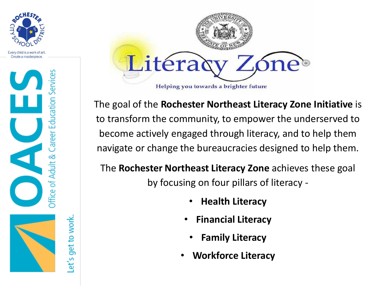

Every child is a work of art. Create a masterpiece.



et's get to work.



The goal of the **Rochester Northeast Literacy Zone Initiative** is to transform the community, to empower the underserved to become actively engaged through literacy, and to help them navigate or change the bureaucracies designed to help them.

The **Rochester Northeast Literacy Zone** achieves these goal by focusing on four pillars of literacy -

- **Health Literacy**
- **Financial Literacy**
	- **Family Literacy**
- **Workforce Literacy**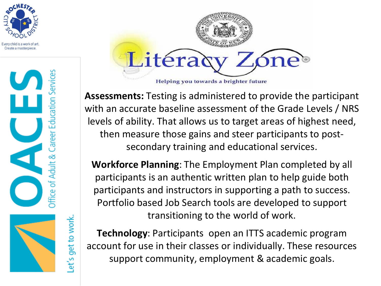

Every child is a work of art Create a masterniece



et's get to work



**Assessments:** Testing is administered to provide the participant with an accurate baseline assessment of the Grade Levels / NRS levels of ability. That allows us to target areas of highest need, then measure those gains and steer participants to postsecondary training and educational services.

**Workforce Planning**: The Employment Plan completed by all participants is an authentic written plan to help guide both participants and instructors in supporting a path to success. Portfolio based Job Search tools are developed to support transitioning to the world of work.

**Technology**: Participants open an ITTS academic program account for use in their classes or individually. These resources support community, employment & academic goals.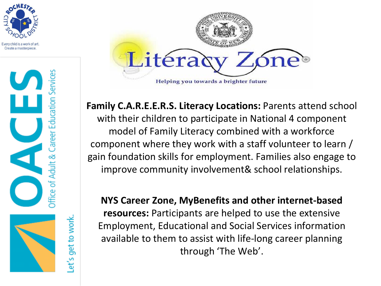

Every child is a work of art. Create a masterniece



et's get to work



**Family C.A.R.E.E.R.S. Literacy Locations:** Parents attend school with their children to participate in National 4 component model of Family Literacy combined with a workforce component where they work with a staff volunteer to learn / gain foundation skills for employment. Families also engage to improve community involvement& school relationships.

**NYS Career Zone, MyBenefits and other internet-based resources:** Participants are helped to use the extensive Employment, Educational and Social Services information available to them to assist with life-long career planning through 'The Web'.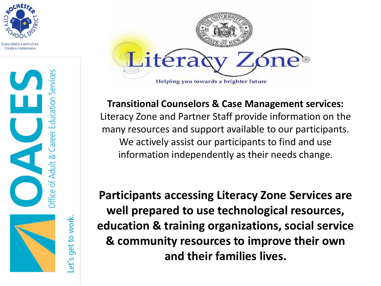

Every child is a work of art. Create a masterniece





**Transitional Counselors & Case Management services:**  Literacy Zone and Partner Staff provide information on the many resources and support available to our participants. We actively assist our participants to find and use information independently as their needs change.

**Participants accessing Literacy Zone Services are well prepared to use technological resources, education & training organizations, social service & community resources to improve their own and their families lives.**